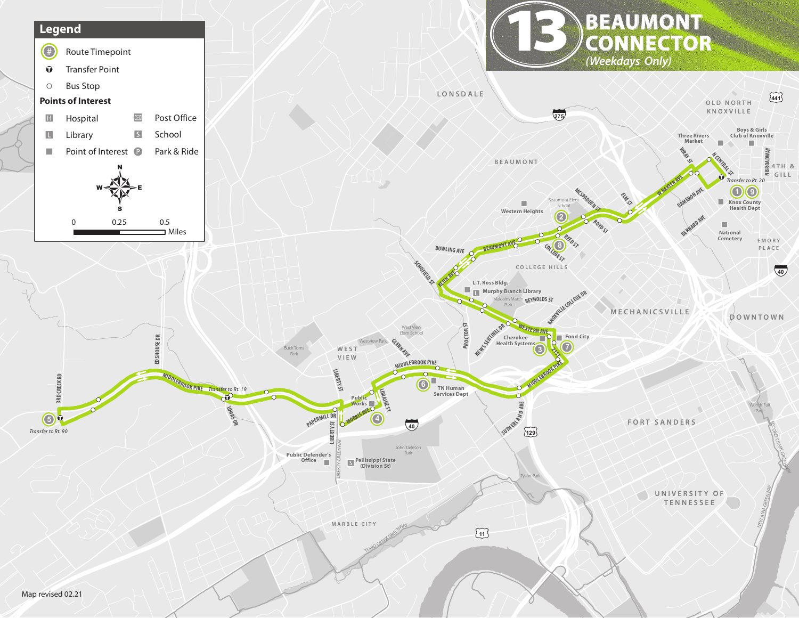